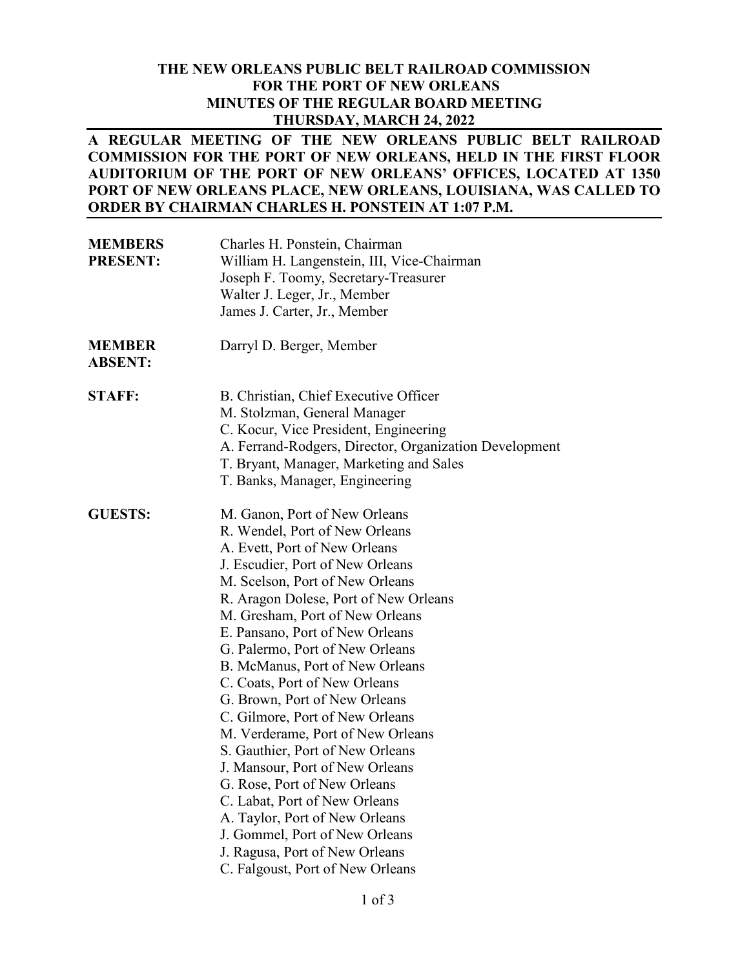#### **THE NEW ORLEANS PUBLIC BELT RAILROAD COMMISSION FOR THE PORT OF NEW ORLEANS MINUTES OF THE REGULAR BOARD MEETING THURSDAY, MARCH 24, 2022**

#### **A REGULAR MEETING OF THE NEW ORLEANS PUBLIC BELT RAILROAD COMMISSION FOR THE PORT OF NEW ORLEANS, HELD IN THE FIRST FLOOR AUDITORIUM OF THE PORT OF NEW ORLEANS' OFFICES, LOCATED AT 1350 PORT OF NEW ORLEANS PLACE, NEW ORLEANS, LOUISIANA, WAS CALLED TO ORDER BY CHAIRMAN CHARLES H. PONSTEIN AT 1:07 P.M.**

| <b>MEMBERS</b><br><b>PRESENT:</b> | Charles H. Ponstein, Chairman<br>William H. Langenstein, III, Vice-Chairman<br>Joseph F. Toomy, Secretary-Treasurer<br>Walter J. Leger, Jr., Member<br>James J. Carter, Jr., Member                                                                                                                                                                                                                                                                                                                                                                                                                                                                                                                                                                                                      |
|-----------------------------------|------------------------------------------------------------------------------------------------------------------------------------------------------------------------------------------------------------------------------------------------------------------------------------------------------------------------------------------------------------------------------------------------------------------------------------------------------------------------------------------------------------------------------------------------------------------------------------------------------------------------------------------------------------------------------------------------------------------------------------------------------------------------------------------|
| <b>MEMBER</b><br><b>ABSENT:</b>   | Darryl D. Berger, Member                                                                                                                                                                                                                                                                                                                                                                                                                                                                                                                                                                                                                                                                                                                                                                 |
| <b>STAFF:</b>                     | B. Christian, Chief Executive Officer<br>M. Stolzman, General Manager<br>C. Kocur, Vice President, Engineering<br>A. Ferrand-Rodgers, Director, Organization Development<br>T. Bryant, Manager, Marketing and Sales<br>T. Banks, Manager, Engineering                                                                                                                                                                                                                                                                                                                                                                                                                                                                                                                                    |
| <b>GUESTS:</b>                    | M. Ganon, Port of New Orleans<br>R. Wendel, Port of New Orleans<br>A. Evett, Port of New Orleans<br>J. Escudier, Port of New Orleans<br>M. Scelson, Port of New Orleans<br>R. Aragon Dolese, Port of New Orleans<br>M. Gresham, Port of New Orleans<br>E. Pansano, Port of New Orleans<br>G. Palermo, Port of New Orleans<br>B. McManus, Port of New Orleans<br>C. Coats, Port of New Orleans<br>G. Brown, Port of New Orleans<br>C. Gilmore, Port of New Orleans<br>M. Verderame, Port of New Orleans<br>S. Gauthier, Port of New Orleans<br>J. Mansour, Port of New Orleans<br>G. Rose, Port of New Orleans<br>C. Labat, Port of New Orleans<br>A. Taylor, Port of New Orleans<br>J. Gommel, Port of New Orleans<br>J. Ragusa, Port of New Orleans<br>C. Falgoust, Port of New Orleans |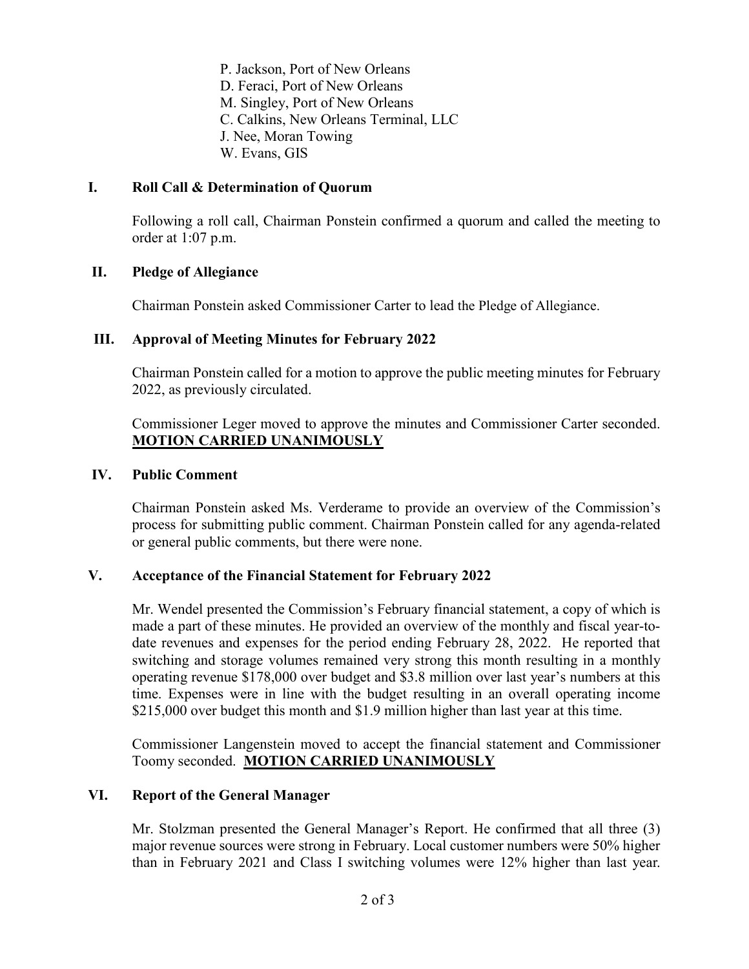P. Jackson, Port of New Orleans D. Feraci, Port of New Orleans M. Singley, Port of New Orleans C. Calkins, New Orleans Terminal, LLC J. Nee, Moran Towing W. Evans, GIS

## **I. Roll Call & Determination of Quorum**

Following a roll call, Chairman Ponstein confirmed a quorum and called the meeting to order at 1:07 p.m.

# **II. Pledge of Allegiance**

Chairman Ponstein asked Commissioner Carter to lead the Pledge of Allegiance.

# **III. Approval of Meeting Minutes for February 2022**

Chairman Ponstein called for a motion to approve the public meeting minutes for February 2022, as previously circulated.

Commissioner Leger moved to approve the minutes and Commissioner Carter seconded. **MOTION CARRIED UNANIMOUSLY**

# **IV. Public Comment**

Chairman Ponstein asked Ms. Verderame to provide an overview of the Commission's process for submitting public comment. Chairman Ponstein called for any agenda-related or general public comments, but there were none.

## **V. Acceptance of the Financial Statement for February 2022**

Mr. Wendel presented the Commission's February financial statement, a copy of which is made a part of these minutes. He provided an overview of the monthly and fiscal year-todate revenues and expenses for the period ending February 28, 2022. He reported that switching and storage volumes remained very strong this month resulting in a monthly operating revenue \$178,000 over budget and \$3.8 million over last year's numbers at this time. Expenses were in line with the budget resulting in an overall operating income \$215,000 over budget this month and \$1.9 million higher than last year at this time.

Commissioner Langenstein moved to accept the financial statement and Commissioner Toomy seconded. **MOTION CARRIED UNANIMOUSLY**

## **VI. Report of the General Manager**

Mr. Stolzman presented the General Manager's Report. He confirmed that all three (3) major revenue sources were strong in February. Local customer numbers were 50% higher than in February 2021 and Class I switching volumes were 12% higher than last year.